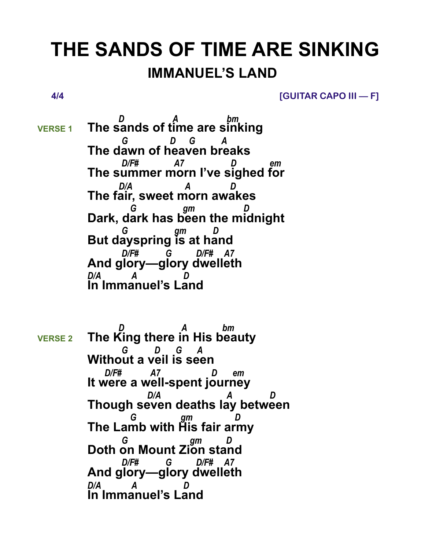## **THE SANDS OF TIME ARE SINKING IMMANUEL'S LAND**

 **4/4 [GUITAR CAPO III — F]**

 *D A bm* **VERSE 1 The sands of time are sinking**  *G D G A* **The dawn of heaven breaks**  *D/F# A7 D em* **The summer morn I've sighed for**  *D/A A D* **The fair, sweet morn awakes**  *G gm D* **Dark, dark has been the midnight**  *G gm D* **But dayspring is at hand**  *D/F# G D/F# A7* **And glory—glory dwelleth** *D/A* **In Immanuel's Land**

 *D A bm*  **VERSE 2 The King there in His beauty**  *G D G A* **Without a veil is seen**  *D/F# A7 D em* **It were a well-spent journey**  *D/A A D* **Though seven deaths lay between**  *G gm D* **The Lamb with His fair army**  *G gm D* **Doth on Mount Zion stand**  *D/F# G D/F# A7* **And glory—glory dwelleth** *D/A A D* **In Immanuel's Land**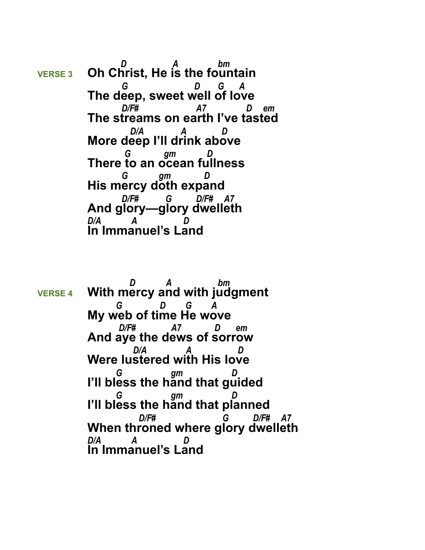*D A bm* **VERSE 3 Oh Christ, He is the fountain**  *G D G A* **The deep, sweet well of love**  *D/F# A7 D em* **The streams on earth I've tasted** *D/A A D<sub>D</sub>* **More deep I'll drink above**  *G gm D* **There to an ocean fullness**  *G gm D* **His mercy doth expand**  *D/F# G D/F# A7* **And glory—glory dwelleth** *D/A A D* **In Immanuel's Land**

 *D A bm*  **VERSE 4 With mercy and with judgment**  *G D G A* **My web of time He wove**  *D/F# A7 D em* **And aye the dews of sorrow**  *D/A A D* **Were lustered with His love**  *G gm D* **I'll bless the hand that guided**  *G gm D* **I'll bless the hand that planned**  *D/F# G D/F# A7* **When throned where glory dwelleth** *D/A A D* **In Immanuel's Land**